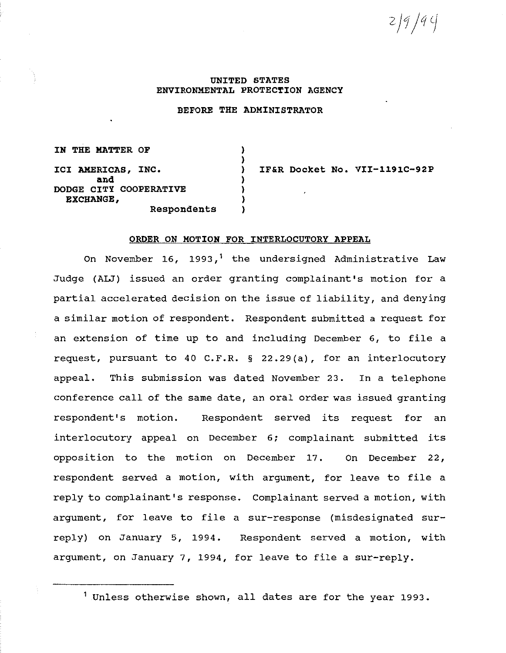$2/9/9$ 

## **UNITED STATES ENVIRONMENTAL PROTECTION AGENCY**

#### **BEFORE THE ADMINISTRATOR**

) )

)

) ) )

**IN THE MATTER OF ICI AMERICAS, INC. and DODGE CITY COOPERATIVE EXCHANGE, Respondents** 

) **IF&R Docket No. VII-1191C-92P** 

# **ORDER ON MOTION FOR INTERLOCUTORY APPEAL**

On November 16, 1993,<sup>1</sup> the undersigned Administrative Law Judge (ALJ) issued an order granting complainant's motion for a partial accelerated decision on the issue of liability, and denying a similar motion of respondent. Respondent submitted a request for an extension of time up to and including December 6, to file a request, pursuant to 40 C.F.R. § 22.29(a), for an interlocutory appeal. This submission was dated November 23. In a telephone conference call of the same date, an oral order was issued granting respondent's motion. Respondent served its request for an interlocutory appeal on December 6; complainant submitted its opposition to the motion on December 17. On December 22, respondent served a motion, with argument, for leave to file a reply to complainant's response. Complainant served a motion, with argument, for leave to file a sur-response (misdesignated surreply) on January 5, 1994. Respondent served a motion, with argument, on January 7, 1994, for leave to file a sur-reply.

<sup>&</sup>lt;sup>1</sup> Unless otherwise shown, all dates are for the year 1993.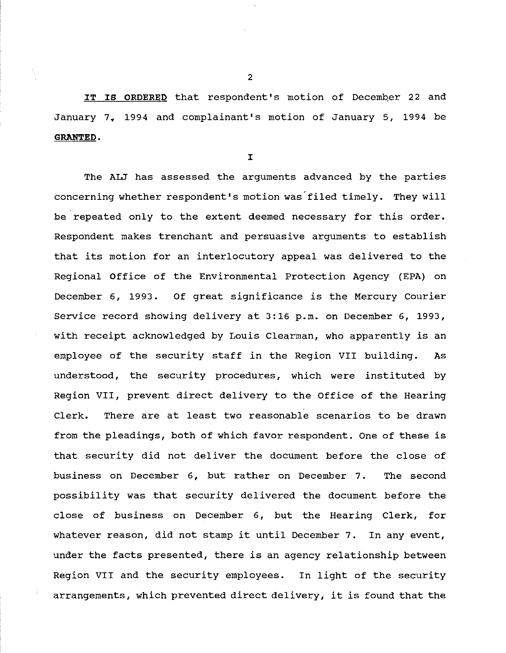IT IS ORDERED that respondent's motion of December 22 and January 7. 1994 and complainant's motion of January 5, 1994 be **GRANTED.** 

I

The ALJ has assessed the arguments advanced by the parties concerning whether respondent's motion was' filed timely. They will be repeated only to the extent deemed necessary for this order. Respondent makes trenchant and persuasive arguments to establish that its motion for an interlocutory appeal was delivered to the Regional Office of the Environmental Protection Agency (EPA) on December 6, 1993. Of great significance is the Mercury Courier Service record showing delivery at 3:16 p.m. on December 6, 1993, with receipt acknowledged by Louis Clearman, who apparently is an employee of the security staff in the Region VII building. As understood, the security procedures, which were instituted by Region VII, prevent direct delivery to the Office of the Hearing Clerk. There are at least two reasonable scenarios to be drawn from the pleadings, both of which favor respondent. One of these is that security did not deliver the document before the close of business on December 6, but rather on December 7. The second possibility was that security delivered the document before the close of business on December 6, but the Hearing Clerk, for whatever reason, did not stamp it until December 7. In any event, under the facts presented, there is an agency relationship between Region VII and the security employees. In light of the security arrangements, which prevented direct delivery, it is found that the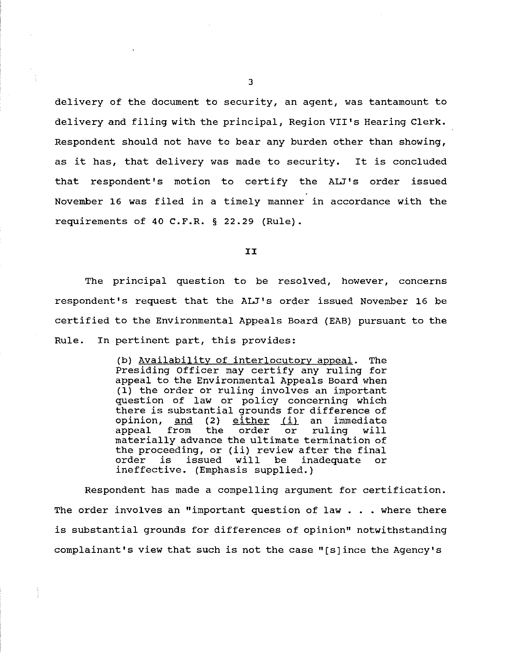delivery of the document to security, an agent, was tantamount to

delivery and filing with the principal, Region VII's Hearing Clerk. Respondent should not have to bear any burden other than showing, as it has, that delivery was made to security. It is concluded that respondent's motion to certify the ALJ's order issued November 16 was filed in a timely manner in accordance with the requirements of 40 C.F.R. § 22.29 (Rule).

#### II

The principal question to be resolved, however, concerns respondent's request that the ALJ's order issued November 16 be certified to the Environmental Appeals Board (EAB) pursuant to the Rule. In pertinent part, this provides:

> (b) Availability of interlocutory appeal. The Presiding Officer may certify any ruling for appeal to the Environmental Appeals Board when (1) the order or ruling involves an important question of law or policy concerning which question of fax of poincy concerning which<br>there is substantial grounds for difference of<br>opinion, <u>and</u> (2) either (i) an immediate appeal from the order or ruling will appeal from the order or ruling will<br>materially advance the ultimate termination of the proceeding, or (ii) review after the final<br>order is issued will be inadequate or be inadequate ineffective. (Emphasis supplied.)

Respondent has made a compelling argument for certification. The order involves an "important question of law  $\ldots$  where there is substantial grounds for differences of opinion" notwithstanding complainant's view that such is not the case " ( s) ince the Agency's

3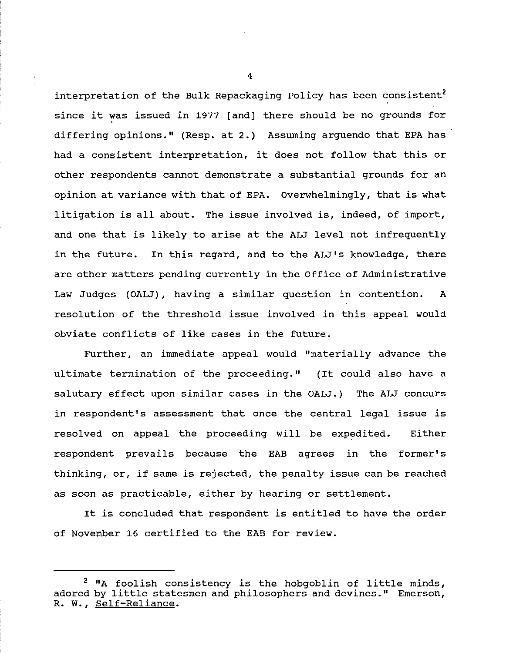interpretation of the Bulk Repackaging Policy has been consistent<sup>2</sup> since it was issued in 1977 [and] there should be no grounds for differing opinions." (Resp. at 2.) Assuming arguendo that EPA has had a consistent interpretation, it does not follow that this or other respondents cannot demonstrate a substantial grounds for an opinion at variance with that of EPA. overwhelmingly, that is what litigation is all about. The issue involved is, indeed, of import, and one that is likely to arise at the ALJ level not infrequently in the future. In this regard, and to the ALJ's knowledge, there are other matters pending currently in the Office of Administrative Law Judges (OALJ), having a similar question in contention. resolution of the threshold issue involved in this appeal would obviate conflicts of like cases in the future.

Further, an immediate appeal would "materially advance the ultimate termination of the proceeding." (It could also have a salutary effect upon similar cases in the OALJ.) The ALJ concurs in respondent's assessment that once the central legal issue is resolved on appeal the proceeding will be expedited. Either respondent prevails because the EAB agrees in the former's thinking, or, if same is rejected, the penalty issue can be reached as soon as practicable, either by hearing or settlement.

It is concluded that respondent is entitled to have the order of November 16 certified to the EAB for review.

4

 $2$  "A foolish consistency is the hobgoblin of little minds, adored by little statesmen and philosophers and devines." Emerson, R. W., Self-Reliance.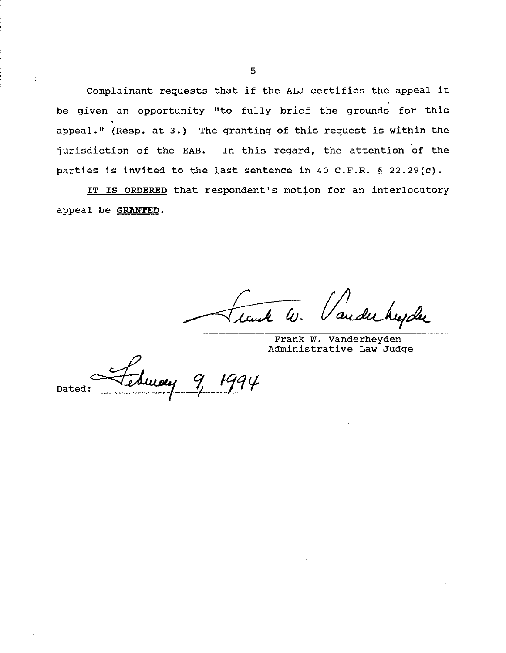Complainant requests that if the ALJ certifies the appeal it be given an opportunity "to fully brief the grounds for this appeal." (Resp. at 3.) The granting of this request is within the jurisdiction of the EAB. In this regard, the attention of the parties is invited to the last sentence in 40 C.F.R. § 22.29(c).

**IT IS ORDERED** that respondent's motion for an interlocutory appeal be **GRANTED.** 

ander hujder Lank W.

Frank W. Vanderheyden Administrative Law Judge

twory Dated: